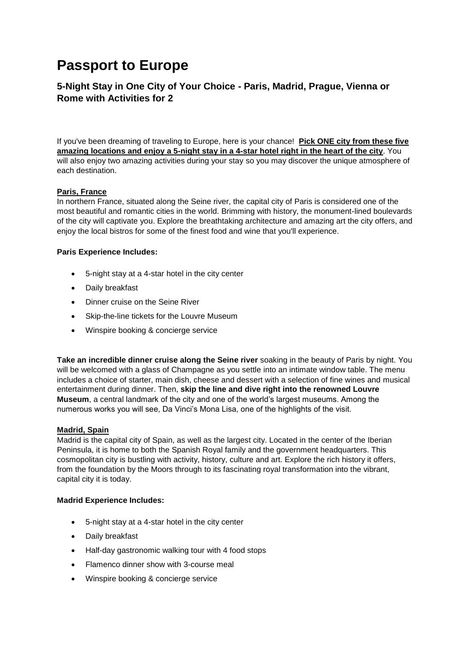# **Passport to Europe**

## **5-Night Stay in One City of Your Choice - Paris, Madrid, Prague, Vienna or Rome with Activities for 2**

If you've been dreaming of traveling to Europe, here is your chance! **Pick ONE city from these five amazing locations and enjoy a 5-night stay in a 4-star hotel right in the heart of the city**. You will also enjoy two amazing activities during your stay so you may discover the unique atmosphere of each destination.

## **Paris, France**

In northern France, situated along the Seine river, the capital city of Paris is considered one of the most beautiful and romantic cities in the world. Brimming with history, the monument-lined boulevards of the city will captivate you. Explore the breathtaking architecture and amazing art the city offers, and enjoy the local bistros for some of the finest food and wine that you'll experience.

## **Paris Experience Includes:**

- 5-night stay at a 4-star hotel in the city center
- Daily breakfast
- Dinner cruise on the Seine River
- Skip-the-line tickets for the Louvre Museum
- Winspire booking & concierge service

**Take an incredible dinner cruise along the Seine river** soaking in the beauty of Paris by night. You will be welcomed with a glass of Champagne as you settle into an intimate window table. The menu includes a choice of starter, main dish, cheese and dessert with a selection of fine wines and musical entertainment during dinner. Then, **skip the line and dive right into the renowned Louvre Museum**, a central landmark of the city and one of the world's largest museums. Among the numerous works you will see, Da Vinci's Mona Lisa, one of the highlights of the visit.

## **Madrid, Spain**

Madrid is the capital city of Spain, as well as the largest city. Located in the center of the Iberian Peninsula, it is home to both the Spanish Royal family and the government headquarters. This cosmopolitan city is bustling with activity, history, culture and art. Explore the rich history it offers, from the foundation by the Moors through to its fascinating royal transformation into the vibrant, capital city it is today.

## **Madrid Experience Includes:**

- 5-night stay at a 4-star hotel in the city center
- Daily breakfast
- Half-day gastronomic walking tour with 4 food stops
- Flamenco dinner show with 3-course meal
- Winspire booking & concierge service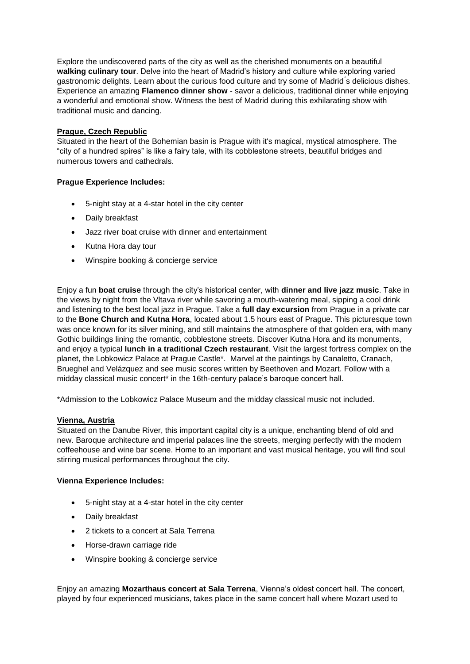Explore the undiscovered parts of the city as well as the cherished monuments on a beautiful **walking culinary tour**. Delve into the heart of Madrid's history and culture while exploring varied gastronomic delights. Learn about the curious food culture and try some of Madrid ́s delicious dishes. Experience an amazing **Flamenco dinner show** - savor a delicious, traditional dinner while enjoying a wonderful and emotional show. Witness the best of Madrid during this exhilarating show with traditional music and dancing.

## **Prague, Czech Republic**

Situated in the heart of the Bohemian basin is Prague with it's magical, mystical atmosphere. The "city of a hundred spires" is like a fairy tale, with its cobblestone streets, beautiful bridges and numerous towers and cathedrals.

## **Prague Experience Includes:**

- 5-night stay at a 4-star hotel in the city center
- Daily breakfast
- Jazz river boat cruise with dinner and entertainment
- Kutna Hora day tour
- Winspire booking & concierge service

Enjoy a fun **boat cruise** through the city's historical center, with **dinner and live jazz music**. Take in the views by night from the Vltava river while savoring a mouth-watering meal, sipping a cool drink and listening to the best local jazz in Prague. Take a **full day excursion** from Prague in a private car to the **Bone Church and Kutna Hora**, located about 1.5 hours east of Prague. This picturesque town was once known for its silver mining, and still maintains the atmosphere of that golden era, with many Gothic buildings lining the romantic, cobblestone streets. Discover Kutna Hora and its monuments, and enjoy a typical **lunch in a traditional Czech restaurant**. Visit the largest fortress complex on the planet, the Lobkowicz Palace at Prague Castle\*. Marvel at the paintings by Canaletto, Cranach, Brueghel and Velázquez and see music scores written by Beethoven and Mozart. Follow with a midday classical music concert\* in the 16th-century palace's baroque concert hall.

\*Admission to the Lobkowicz Palace Museum and the midday classical music not included.

## **Vienna, Austria**

Situated on the Danube River, this important capital city is a unique, enchanting blend of old and new. Baroque architecture and imperial palaces line the streets, merging perfectly with the modern coffeehouse and wine bar scene. Home to an important and vast musical heritage, you will find soul stirring musical performances throughout the city.

## **Vienna Experience Includes:**

- 5-night stay at a 4-star hotel in the city center
- Daily breakfast
- 2 tickets to a concert at Sala Terrena
- Horse-drawn carriage ride
- Winspire booking & concierge service

Enjoy an amazing **Mozarthaus concert at Sala Terrena**, Vienna's oldest concert hall. The concert, played by four experienced musicians, takes place in the same concert hall where Mozart used to